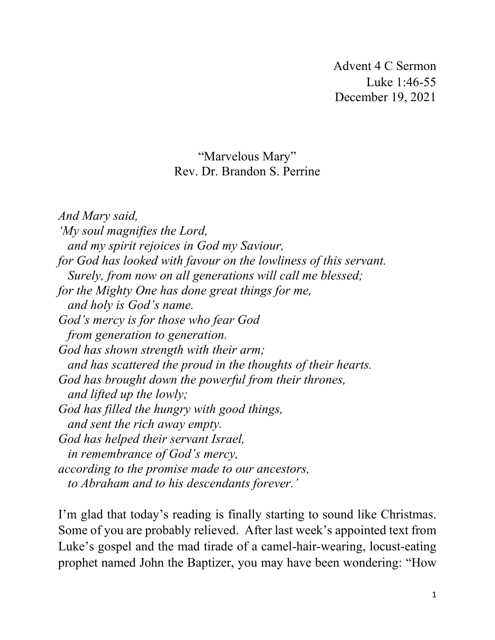Advent 4 C Sermon Luke 1:46-55 December 19, 2021

## "Marvelous Mary" Rev. Dr. Brandon S. Perrine

*And Mary said, 'My soul magnifies the Lord, and my spirit rejoices in God my Saviour, for God has looked with favour on the lowliness of this servant. Surely, from now on all generations will call me blessed; for the Mighty One has done great things for me, and holy is God's name. God's mercy is for those who fear God from generation to generation. God has shown strength with their arm; and has scattered the proud in the thoughts of their hearts. God has brought down the powerful from their thrones, and lifted up the lowly; God has filled the hungry with good things, and sent the rich away empty. God has helped their servant Israel, in remembrance of God's mercy, according to the promise made to our ancestors, to Abraham and to his descendants forever.'*

I'm glad that today's reading is finally starting to sound like Christmas. Some of you are probably relieved. After last week's appointed text from Luke's gospel and the mad tirade of a camel-hair-wearing, locust-eating prophet named John the Baptizer, you may have been wondering: "How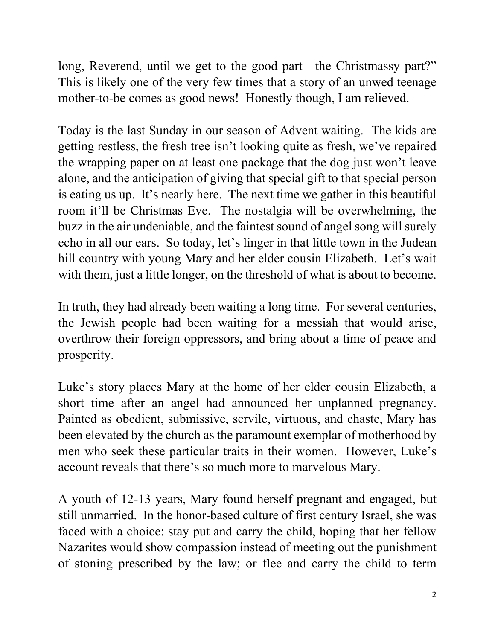long, Reverend, until we get to the good part—the Christmassy part?" This is likely one of the very few times that a story of an unwed teenage mother-to-be comes as good news! Honestly though, I am relieved.

Today is the last Sunday in our season of Advent waiting. The kids are getting restless, the fresh tree isn't looking quite as fresh, we've repaired the wrapping paper on at least one package that the dog just won't leave alone, and the anticipation of giving that special gift to that special person is eating us up. It's nearly here. The next time we gather in this beautiful room it'll be Christmas Eve. The nostalgia will be overwhelming, the buzz in the air undeniable, and the faintest sound of angel song will surely echo in all our ears. So today, let's linger in that little town in the Judean hill country with young Mary and her elder cousin Elizabeth. Let's wait with them, just a little longer, on the threshold of what is about to become.

In truth, they had already been waiting a long time. For several centuries, the Jewish people had been waiting for a messiah that would arise, overthrow their foreign oppressors, and bring about a time of peace and prosperity.

Luke's story places Mary at the home of her elder cousin Elizabeth, a short time after an angel had announced her unplanned pregnancy. Painted as obedient, submissive, servile, virtuous, and chaste, Mary has been elevated by the church as the paramount exemplar of motherhood by men who seek these particular traits in their women. However, Luke's account reveals that there's so much more to marvelous Mary.

A youth of 12-13 years, Mary found herself pregnant and engaged, but still unmarried. In the honor-based culture of first century Israel, she was faced with a choice: stay put and carry the child, hoping that her fellow Nazarites would show compassion instead of meeting out the punishment of stoning prescribed by the law; or flee and carry the child to term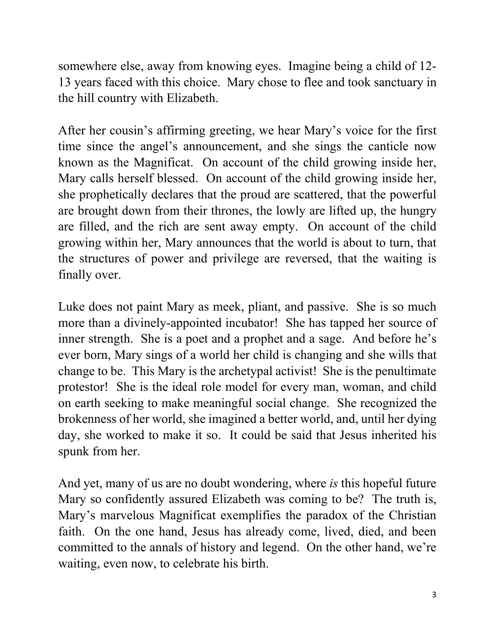somewhere else, away from knowing eyes. Imagine being a child of 12- 13 years faced with this choice. Mary chose to flee and took sanctuary in the hill country with Elizabeth.

After her cousin's affirming greeting, we hear Mary's voice for the first time since the angel's announcement, and she sings the canticle now known as the Magnificat. On account of the child growing inside her, Mary calls herself blessed. On account of the child growing inside her, she prophetically declares that the proud are scattered, that the powerful are brought down from their thrones, the lowly are lifted up, the hungry are filled, and the rich are sent away empty. On account of the child growing within her, Mary announces that the world is about to turn, that the structures of power and privilege are reversed, that the waiting is finally over.

Luke does not paint Mary as meek, pliant, and passive. She is so much more than a divinely-appointed incubator! She has tapped her source of inner strength. She is a poet and a prophet and a sage. And before he's ever born, Mary sings of a world her child is changing and she wills that change to be. This Mary is the archetypal activist! She is the penultimate protestor! She is the ideal role model for every man, woman, and child on earth seeking to make meaningful social change. She recognized the brokenness of her world, she imagined a better world, and, until her dying day, she worked to make it so. It could be said that Jesus inherited his spunk from her.

And yet, many of us are no doubt wondering, where *is* this hopeful future Mary so confidently assured Elizabeth was coming to be? The truth is, Mary's marvelous Magnificat exemplifies the paradox of the Christian faith. On the one hand, Jesus has already come, lived, died, and been committed to the annals of history and legend. On the other hand, we're waiting, even now, to celebrate his birth.